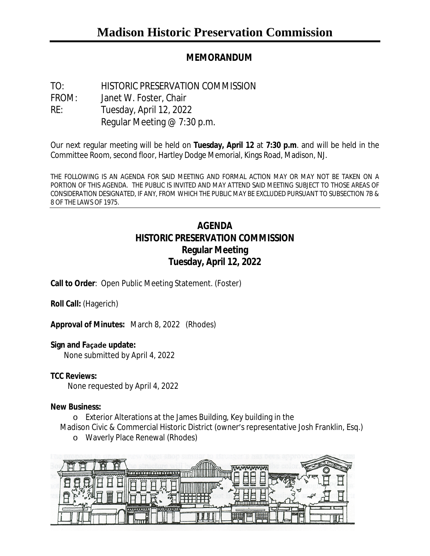# **MEMORANDUM**

TO: HISTORIC PRESERVATION COMMISSION FROM: Janet W. Foster, Chair RE: Tuesday, April 12, 2022 Regular Meeting @ 7:30 p.m.

Our next regular meeting will be held on **Tuesday, April 12** at **7:30 p.m**. and will be held in the Committee Room, second floor, Hartley Dodge Memorial, Kings Road, Madison, NJ.

THE FOLLOWING IS AN AGENDA FOR SAID MEETING AND FORMAL ACTION MAY OR MAY NOT BE TAKEN ON A PORTION OF THIS AGENDA. THE PUBLIC IS INVITED AND MAY ATTEND SAID MEETING SUBJECT TO THOSE AREAS OF CONSIDERATION DESIGNATED, IF ANY, FROM WHICH THE PUBLIC MAY BE EXCLUDED PURSUANT TO SUBSECTION 7B & 8 OF THE LAWS OF 1975.

# **AGENDA HISTORIC PRESERVATION COMMISSION Regular Meeting Tuesday, April 12, 2022**

**Call to Order**: Open Public Meeting Statement. (Foster)

**Roll Call:** (Hagerich)

**Approval of Minutes:** March 8, 2022 (Rhodes)

### **Sign and Façade update:**

None submitted by April 4, 2022

### **TCC Reviews:**

None requested by April 4, 2022

#### **New Business:**

o Exterior Alterations at the James Building, Key building in the

- Madison Civic & Commercial Historic District (owner's representative Josh Franklin, Esq.)
	- o Waverly Place Renewal (Rhodes)